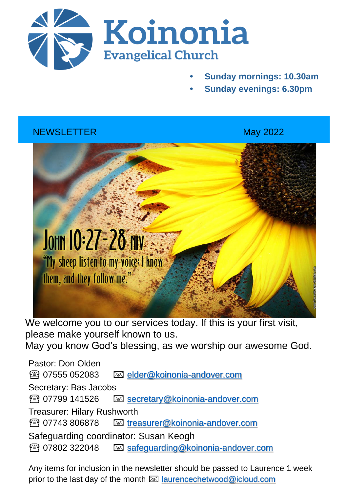

- **• Sunday mornings: 10.30am**
- **• Sunday evenings: 6.30pm**

# NEWSLETTER May 2022



We welcome you to our services today. If this is your first visit, please make yourself known to us. May you know God's blessing, as we worship our awesome God.

Pastor: Don Olden ☎️ 07555 052083 [elder@koinonia-andover.com](mailto:elder@koinonia-andover.com) Secretary: Bas Jacobs ☎️ 07799 141526 [secretary@koinonia-andover.com](mailto:secretary@koinonia-andover.com) Treasurer: Hilary Rushworth ☎️ 07743 806878 [treasurer@koinonia-andover.com](mailto:treasurer@koinonia-andover.com)  Safeguarding coordinator: Susan Keogh ☎️ 07802 322048 [safeguarding@koinonia-andover.com](mailto:safeguarding@koinonia-andover.com)

Any items for inclusion in the newsletter should be passed to Laurence 1 week prior to the last day of the month  $\boxtimes$  [laurencechetwood@icloud.com](mailto:laurencechetwood@icloud.com)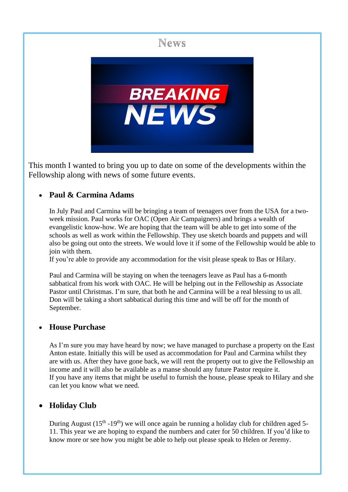

This month I wanted to bring you up to date on some of the developments within the Fellowship along with news of some future events.

### • **Paul & Carmina Adams**

In July Paul and Carmina will be bringing a team of teenagers over from the USA for a twoweek mission. Paul works for OAC (Open Air Campaigners) and brings a wealth of evangelistic know-how. We are hoping that the team will be able to get into some of the schools as well as work within the Fellowship. They use sketch boards and puppets and will also be going out onto the streets. We would love it if some of the Fellowship would be able to join with them.

If you're able to provide any accommodation for the visit please speak to Bas or Hilary.

Paul and Carmina will be staying on when the teenagers leave as Paul has a 6-month sabbatical from his work with OAC. He will be helping out in the Fellowship as Associate Pastor until Christmas. I'm sure, that both he and Carmina will be a real blessing to us all. Don will be taking a short sabbatical during this time and will be off for the month of September.

#### • **House Purchase**

As I'm sure you may have heard by now; we have managed to purchase a property on the East Anton estate. Initially this will be used as accommodation for Paul and Carmina whilst they are with us. After they have gone back, we will rent the property out to give the Fellowship an income and it will also be available as a manse should any future Pastor require it. If you have any items that might be useful to furnish the house, please speak to Hilary and she can let you know what we need.

### • **Holiday Club**

During August ( $15<sup>th</sup> - 19<sup>th</sup>$ ) we will once again be running a holiday club for children aged 5-11. This year we are hoping to expand the numbers and cater for 50 children. If you'd like to know more or see how you might be able to help out please speak to Helen or Jeremy.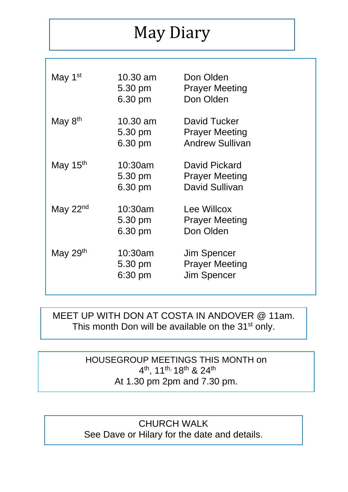# May Diary

| May 1 <sup>st</sup> | 10.30 am<br>5.30 pm<br>6.30 pm | Don Olden<br><b>Prayer Meeting</b><br>Don Olden                 |
|---------------------|--------------------------------|-----------------------------------------------------------------|
| May 8 <sup>th</sup> | 10.30 am<br>5.30 pm<br>6.30 pm | David Tucker<br><b>Prayer Meeting</b><br><b>Andrew Sullivan</b> |
| May $15th$          | 10:30am<br>5.30 pm<br>6.30 pm  | David Pickard<br><b>Prayer Meeting</b><br>David Sullivan        |
| May $22nd$          | 10:30am<br>5.30 pm<br>6.30 pm  | Lee Willcox<br><b>Prayer Meeting</b><br>Don Olden               |
| May $29th$          | 10:30am<br>5.30 pm<br>6:30 pm  | Jim Spencer<br><b>Prayer Meeting</b><br><b>Jim Spencer</b>      |

# MEET UP WITH DON AT COSTA IN ANDOVER @ 11am. This month Don will be available on the 31<sup>st</sup> only.

HOUSEGROUP MEETINGS THIS MONTH on 4<sup>th</sup>, 11<sup>th,</sup> 18<sup>th</sup> & 24<sup>th</sup> At 1.30 pm 2pm and 7.30 pm.

CHURCH WALK See Dave or Hilary for the date and details.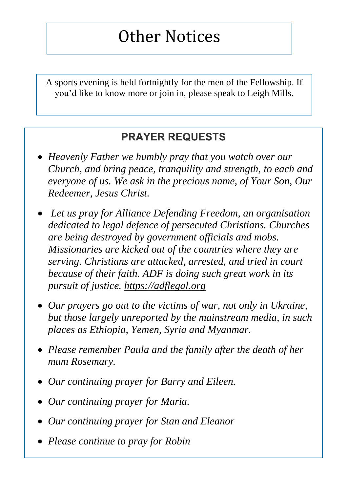# Other Notices

A sports evening is held fortnightly for the men of the Fellowship. If you'd like to know more or join in, please speak to Leigh Mills.

# **PRAYER REQUESTS**

- *Heavenly Father we humbly pray that you watch over our Church, and bring peace, tranquility and strength, to each and everyone of us. We ask in the precious name, of Your Son, Our Redeemer, Jesus Christ.*
- *Let us pray for Alliance Defending Freedom, an organisation dedicated to legal defence of persecuted Christians. Churches are being destroyed by government officials and mobs. Missionaries are kicked out of the countries where they are serving. Christians are attacked, arrested, and tried in court because of their faith. ADF is doing such great work in its pursuit of justice. [https://adflegal.org](https://adflegal.org/)*
- *Our prayers go out to the victims of war, not only in Ukraine, but those largely unreported by the mainstream media, in such places as Ethiopia, Yemen, Syria and Myanmar.*
- *Please remember Paula and the family after the death of her mum Rosemary.*
- *Our continuing prayer for Barry and Eileen.*
- *Our continuing prayer for Maria.*
- *Our continuing prayer for Stan and Eleanor*
- *Please continue to pray for Robin*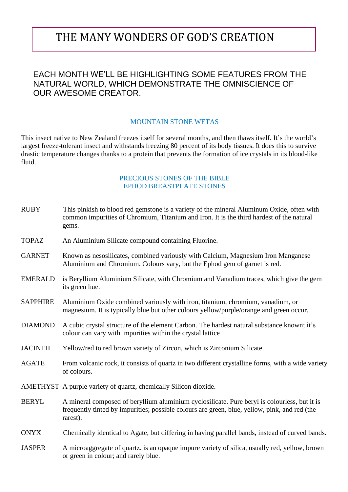# THE MANY WONDERS OF GOD'S CREATION

### EACH MONTH WE'LL BE HIGHLIGHTING SOME FEATURES FROM THE NATURAL WORLD, WHICH DEMONSTRATE THE OMNISCIENCE OF OUR AWESOME CREATOR.

#### MOUNTAIN STONE WETAS

This insect native to New Zealand freezes itself for several months, and then thaws itself. It's the world's largest freeze-tolerant insect and withstands freezing 80 percent of its body tissues. It does this to survive drastic temperature changes thanks to a protein that prevents the formation of ice crystals in its blood-like fluid.

#### PRECIOUS STONES OF THE BIBLE EPHOD BREASTPLATE STONES

| <b>RUBY</b>     | This pinkish to blood red gemstone is a variety of the mineral Aluminum Oxide, often with<br>common impurities of Chromium, Titanium and Iron. It is the third hardest of the natural<br>gems.            |  |
|-----------------|-----------------------------------------------------------------------------------------------------------------------------------------------------------------------------------------------------------|--|
| <b>TOPAZ</b>    | An Aluminium Silicate compound containing Fluorine.                                                                                                                                                       |  |
| <b>GARNET</b>   | Known as nesosilicates, combined variously with Calcium, Magnesium Iron Manganese<br>Aluminium and Chromium. Colours vary, but the Ephod gem of garnet is red.                                            |  |
| <b>EMERALD</b>  | is Beryllium Aluminium Silicate, with Chromium and Vanadium traces, which give the gem<br>its green hue.                                                                                                  |  |
| <b>SAPPHIRE</b> | Aluminium Oxide combined variously with iron, titanium, chromium, vanadium, or<br>magnesium. It is typically blue but other colours yellow/purple/orange and green occur.                                 |  |
| <b>DIAMOND</b>  | A cubic crystal structure of the element Carbon. The hardest natural substance known; it's<br>colour can vary with impurities within the crystal lattice                                                  |  |
| <b>JACINTH</b>  | Yellow/red to red brown variety of Zircon, which is Zirconium Silicate.                                                                                                                                   |  |
| <b>AGATE</b>    | From volcanic rock, it consists of quartz in two different crystalline forms, with a wide variety<br>of colours.                                                                                          |  |
|                 | AMETHYST A purple variety of quartz, chemically Silicon dioxide.                                                                                                                                          |  |
| <b>BERYL</b>    | A mineral composed of beryllium aluminium cyclosilicate. Pure beryl is colourless, but it is<br>frequently tinted by impurities; possible colours are green, blue, yellow, pink, and red (the<br>rarest). |  |
| <b>ONYX</b>     | Chemically identical to Agate, but differing in having parallel bands, instead of curved bands.                                                                                                           |  |
| <b>JASPER</b>   | A microaggregate of quartz, is an opaque impure variety of silica, usually red, yellow, brown<br>or green in colour; and rarely blue.                                                                     |  |